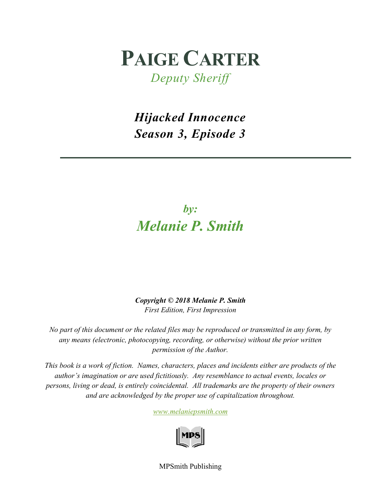## **PAIGE CARTER**

*Deputy Sheriff*

*Hijacked Innocence Season 3, Episode 3*

## *by: Melanie P. Smith*

*Copyright © 2018 Melanie P. Smith First Edition, First Impression*

*No part of this document or the related files may be reproduced or transmitted in any form, by any means (electronic, photocopying, recording, or otherwise) without the prior written permission of the Author.*

*This book is a work of fiction. Names, characters, places and incidents either are products of the author's imagination or are used fictitiously. Any resemblance to actual events, locales or persons, living or dead, is entirely coincidental. All trademarks are the property of their owners and are acknowledged by the proper use of capitalization throughout.*

*[www.melaniepsmith.com](http://www.melaniepsmith.com/)*



MPSmith Publishing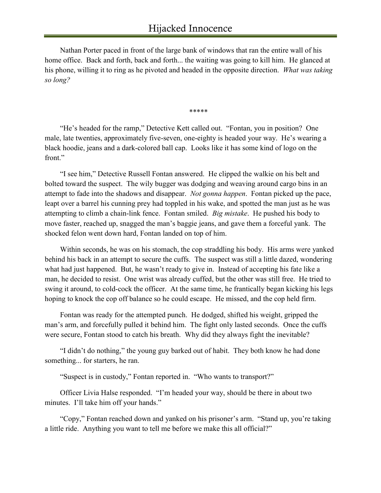Nathan Porter paced in front of the large bank of windows that ran the entire wall of his home office. Back and forth, back and forth... the waiting was going to kill him. He glanced at his phone, willing it to ring as he pivoted and headed in the opposite direction. *What was taking so long?*

*\*\*\*\*\**

"He's headed for the ramp," Detective Kett called out. "Fontan, you in position? One male, late twenties, approximately five-seven, one-eighty is headed your way. He's wearing a black hoodie, jeans and a dark-colored ball cap. Looks like it has some kind of logo on the front."

"I see him," Detective Russell Fontan answered. He clipped the walkie on his belt and bolted toward the suspect. The wily bugger was dodging and weaving around cargo bins in an attempt to fade into the shadows and disappear. *Not gonna happen*. Fontan picked up the pace, leapt over a barrel his cunning prey had toppled in his wake, and spotted the man just as he was attempting to climb a chain-link fence. Fontan smiled. *Big mistake*. He pushed his body to move faster, reached up, snagged the man's baggie jeans, and gave them a forceful yank. The shocked felon went down hard, Fontan landed on top of him.

Within seconds, he was on his stomach, the cop straddling his body. His arms were yanked behind his back in an attempt to secure the cuffs. The suspect was still a little dazed, wondering what had just happened. But, he wasn't ready to give in. Instead of accepting his fate like a man, he decided to resist. One wrist was already cuffed, but the other was still free. He tried to swing it around, to cold-cock the officer. At the same time, he frantically began kicking his legs hoping to knock the cop off balance so he could escape. He missed, and the cop held firm.

Fontan was ready for the attempted punch. He dodged, shifted his weight, gripped the man's arm, and forcefully pulled it behind him. The fight only lasted seconds. Once the cuffs were secure, Fontan stood to catch his breath. Why did they always fight the inevitable?

"I didn't do nothing," the young guy barked out of habit. They both know he had done something... for starters, he ran.

"Suspect is in custody," Fontan reported in. "Who wants to transport?"

Officer Livia Halse responded. "I'm headed your way, should be there in about two minutes. I'll take him off your hands."

"Copy," Fontan reached down and yanked on his prisoner's arm. "Stand up, you're taking a little ride. Anything you want to tell me before we make this all official?"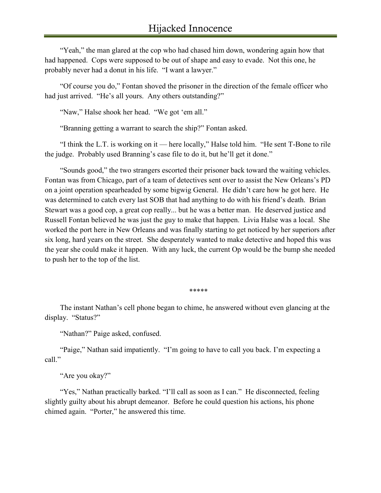"Yeah," the man glared at the cop who had chased him down, wondering again how that had happened. Cops were supposed to be out of shape and easy to evade. Not this one, he probably never had a donut in his life. "I want a lawyer."

"Of course you do," Fontan shoved the prisoner in the direction of the female officer who had just arrived. "He's all yours. Any others outstanding?"

"Naw," Halse shook her head. "We got 'em all."

"Branning getting a warrant to search the ship?" Fontan asked.

"I think the L.T. is working on it — here locally," Halse told him. "He sent T-Bone to rile the judge. Probably used Branning's case file to do it, but he'll get it done."

"Sounds good," the two strangers escorted their prisoner back toward the waiting vehicles. Fontan was from Chicago, part of a team of detectives sent over to assist the New Orleans's PD on a joint operation spearheaded by some bigwig General. He didn't care how he got here. He was determined to catch every last SOB that had anything to do with his friend's death. Brian Stewart was a good cop, a great cop really... but he was a better man. He deserved justice and Russell Fontan believed he was just the guy to make that happen. Livia Halse was a local. She worked the port here in New Orleans and was finally starting to get noticed by her superiors after six long, hard years on the street. She desperately wanted to make detective and hoped this was the year she could make it happen. With any luck, the current Op would be the bump she needed to push her to the top of the list.

*\*\*\*\*\**

The instant Nathan's cell phone began to chime, he answered without even glancing at the display. "Status?"

"Nathan?" Paige asked, confused.

"Paige," Nathan said impatiently. "I'm going to have to call you back. I'm expecting a call."

"Are you okay?"

"Yes," Nathan practically barked. "I'll call as soon as I can." He disconnected, feeling slightly guilty about his abrupt demeanor. Before he could question his actions, his phone chimed again. "Porter," he answered this time.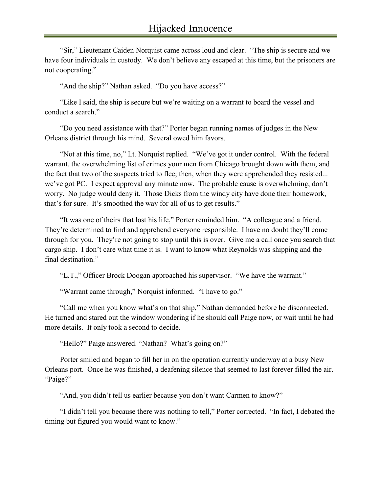"Sir," Lieutenant Caiden Norquist came across loud and clear. "The ship is secure and we have four individuals in custody. We don't believe any escaped at this time, but the prisoners are not cooperating."

"And the ship?" Nathan asked. "Do you have access?"

"Like I said, the ship is secure but we're waiting on a warrant to board the vessel and conduct a search."

"Do you need assistance with that?" Porter began running names of judges in the New Orleans district through his mind. Several owed him favors.

"Not at this time, no," Lt. Norquist replied. "We've got it under control. With the federal warrant, the overwhelming list of crimes your men from Chicago brought down with them, and the fact that two of the suspects tried to flee; then, when they were apprehended they resisted... we've got PC. I expect approval any minute now. The probable cause is overwhelming, don't worry. No judge would deny it. Those Dicks from the windy city have done their homework, that's for sure. It's smoothed the way for all of us to get results."

"It was one of theirs that lost his life," Porter reminded him. "A colleague and a friend. They're determined to find and apprehend everyone responsible. I have no doubt they'll come through for you. They're not going to stop until this is over. Give me a call once you search that cargo ship. I don't care what time it is. I want to know what Reynolds was shipping and the final destination."

"L.T.," Officer Brock Doogan approached his supervisor. "We have the warrant."

"Warrant came through," Norquist informed. "I have to go."

"Call me when you know what's on that ship," Nathan demanded before he disconnected. He turned and stared out the window wondering if he should call Paige now, or wait until he had more details. It only took a second to decide.

"Hello?" Paige answered. "Nathan? What's going on?"

Porter smiled and began to fill her in on the operation currently underway at a busy New Orleans port. Once he was finished, a deafening silence that seemed to last forever filled the air. "Paige?"

"And, you didn't tell us earlier because you don't want Carmen to know?"

"I didn't tell you because there was nothing to tell," Porter corrected. "In fact, I debated the timing but figured you would want to know."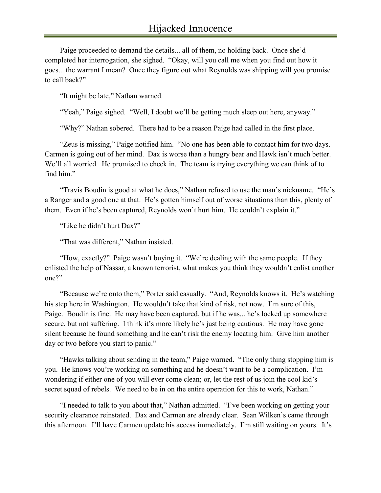Paige proceeded to demand the details... all of them, no holding back. Once she'd completed her interrogation, she sighed. "Okay, will you call me when you find out how it goes... the warrant I mean? Once they figure out what Reynolds was shipping will you promise to call back?"

"It might be late," Nathan warned.

"Yeah," Paige sighed. "Well, I doubt we'll be getting much sleep out here, anyway."

"Why?" Nathan sobered. There had to be a reason Paige had called in the first place.

"Zeus is missing," Paige notified him. "No one has been able to contact him for two days. Carmen is going out of her mind. Dax is worse than a hungry bear and Hawk isn't much better. We'll all worried. He promised to check in. The team is trying everything we can think of to find him."

"Travis Boudin is good at what he does," Nathan refused to use the man's nickname. "He's a Ranger and a good one at that. He's gotten himself out of worse situations than this, plenty of them. Even if he's been captured, Reynolds won't hurt him. He couldn't explain it."

"Like he didn't hurt Dax?"

"That was different," Nathan insisted.

"How, exactly?" Paige wasn't buying it. "We're dealing with the same people. If they enlisted the help of Nassar, a known terrorist, what makes you think they wouldn't enlist another one?"

"Because we're onto them," Porter said casually. "And, Reynolds knows it. He's watching his step here in Washington. He wouldn't take that kind of risk, not now. I'm sure of this, Paige. Boudin is fine. He may have been captured, but if he was... he's locked up somewhere secure, but not suffering. I think it's more likely he's just being cautious. He may have gone silent because he found something and he can't risk the enemy locating him. Give him another day or two before you start to panic."

"Hawks talking about sending in the team," Paige warned. "The only thing stopping him is you. He knows you're working on something and he doesn't want to be a complication. I'm wondering if either one of you will ever come clean; or, let the rest of us join the cool kid's secret squad of rebels. We need to be in on the entire operation for this to work, Nathan."

"I needed to talk to you about that," Nathan admitted. "I've been working on getting your security clearance reinstated. Dax and Carmen are already clear. Sean Wilken's came through this afternoon. I'll have Carmen update his access immediately. I'm still waiting on yours. It's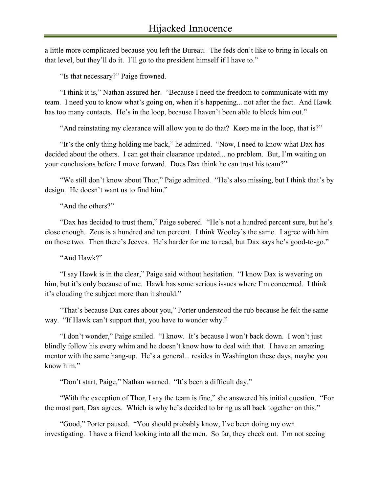a little more complicated because you left the Bureau. The feds don't like to bring in locals on that level, but they'll do it. I'll go to the president himself if I have to."

"Is that necessary?" Paige frowned.

"I think it is," Nathan assured her. "Because I need the freedom to communicate with my team. I need you to know what's going on, when it's happening... not after the fact. And Hawk has too many contacts. He's in the loop, because I haven't been able to block him out."

"And reinstating my clearance will allow you to do that? Keep me in the loop, that is?"

"It's the only thing holding me back," he admitted. "Now, I need to know what Dax has decided about the others. I can get their clearance updated... no problem. But, I'm waiting on your conclusions before I move forward. Does Dax think he can trust his team?"

"We still don't know about Thor," Paige admitted. "He's also missing, but I think that's by design. He doesn't want us to find him."

"And the others?"

"Dax has decided to trust them," Paige sobered. "He's not a hundred percent sure, but he's close enough. Zeus is a hundred and ten percent. I think Wooley's the same. I agree with him on those two. Then there's Jeeves. He's harder for me to read, but Dax says he's good-to-go."

"And Hawk?"

"I say Hawk is in the clear," Paige said without hesitation. "I know Dax is wavering on him, but it's only because of me. Hawk has some serious issues where I'm concerned. I think it's clouding the subject more than it should."

"That's because Dax cares about you," Porter understood the rub because he felt the same way. "If Hawk can't support that, you have to wonder why."

"I don't wonder," Paige smiled. "I know. It's because I won't back down. I won't just blindly follow his every whim and he doesn't know how to deal with that. I have an amazing mentor with the same hang-up. He's a general... resides in Washington these days, maybe you know him."

"Don't start, Paige," Nathan warned. "It's been a difficult day."

"With the exception of Thor, I say the team is fine," she answered his initial question. "For the most part, Dax agrees. Which is why he's decided to bring us all back together on this."

"Good," Porter paused. "You should probably know, I've been doing my own investigating. I have a friend looking into all the men. So far, they check out. I'm not seeing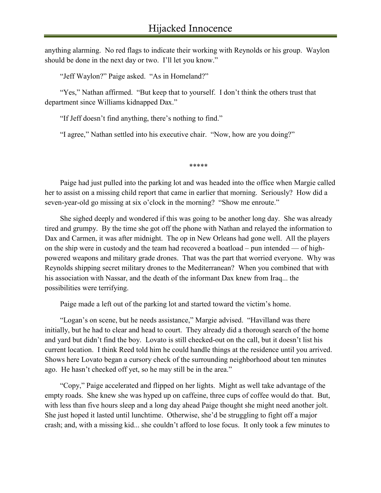anything alarming. No red flags to indicate their working with Reynolds or his group. Waylon should be done in the next day or two. I'll let you know."

"Jeff Waylon?" Paige asked. "As in Homeland?"

"Yes," Nathan affirmed. "But keep that to yourself. I don't think the others trust that department since Williams kidnapped Dax."

"If Jeff doesn't find anything, there's nothing to find."

"I agree," Nathan settled into his executive chair. "Now, how are you doing?"

*\*\*\*\*\**

Paige had just pulled into the parking lot and was headed into the office when Margie called her to assist on a missing child report that came in earlier that morning. Seriously? How did a seven-year-old go missing at six o'clock in the morning? "Show me enroute."

She sighed deeply and wondered if this was going to be another long day. She was already tired and grumpy. By the time she got off the phone with Nathan and relayed the information to Dax and Carmen, it was after midnight. The op in New Orleans had gone well. All the players on the ship were in custody and the team had recovered a boatload – pun intended — of highpowered weapons and military grade drones. That was the part that worried everyone. Why was Reynolds shipping secret military drones to the Mediterranean? When you combined that with his association with Nassar, and the death of the informant Dax knew from Iraq... the possibilities were terrifying.

Paige made a left out of the parking lot and started toward the victim's home.

"Logan's on scene, but he needs assistance," Margie advised. "Havilland was there initially, but he had to clear and head to court. They already did a thorough search of the home and yard but didn't find the boy. Lovato is still checked-out on the call, but it doesn't list his current location. I think Reed told him he could handle things at the residence until you arrived. Shows here Lovato began a cursory check of the surrounding neighborhood about ten minutes ago. He hasn't checked off yet, so he may still be in the area."

"Copy," Paige accelerated and flipped on her lights. Might as well take advantage of the empty roads. She knew she was hyped up on caffeine, three cups of coffee would do that. But, with less than five hours sleep and a long day ahead Paige thought she might need another jolt. She just hoped it lasted until lunchtime. Otherwise, she'd be struggling to fight off a major crash; and, with a missing kid... she couldn't afford to lose focus. It only took a few minutes to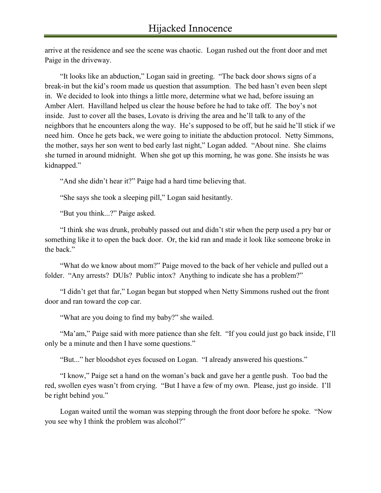arrive at the residence and see the scene was chaotic. Logan rushed out the front door and met Paige in the driveway.

"It looks like an abduction," Logan said in greeting. "The back door shows signs of a break-in but the kid's room made us question that assumption. The bed hasn't even been slept in. We decided to look into things a little more, determine what we had, before issuing an Amber Alert. Havilland helped us clear the house before he had to take off. The boy's not inside. Just to cover all the bases, Lovato is driving the area and he'll talk to any of the neighbors that he encounters along the way. He's supposed to be off, but he said he'll stick if we need him. Once he gets back, we were going to initiate the abduction protocol. Netty Simmons, the mother, says her son went to bed early last night," Logan added. "About nine. She claims she turned in around midnight. When she got up this morning, he was gone. She insists he was kidnapped."

"And she didn't hear it?" Paige had a hard time believing that.

"She says she took a sleeping pill," Logan said hesitantly.

"But you think...?" Paige asked.

"I think she was drunk, probably passed out and didn't stir when the perp used a pry bar or something like it to open the back door. Or, the kid ran and made it look like someone broke in the back."

"What do we know about mom?" Paige moved to the back of her vehicle and pulled out a folder. "Any arrests? DUIs? Public intox? Anything to indicate she has a problem?"

"I didn't get that far," Logan began but stopped when Netty Simmons rushed out the front door and ran toward the cop car.

"What are you doing to find my baby?" she wailed.

"Ma'am," Paige said with more patience than she felt. "If you could just go back inside, I'll only be a minute and then I have some questions."

"But..." her bloodshot eyes focused on Logan. "I already answered his questions."

"I know," Paige set a hand on the woman's back and gave her a gentle push. Too bad the red, swollen eyes wasn't from crying. "But I have a few of my own. Please, just go inside. I'll be right behind you."

Logan waited until the woman was stepping through the front door before he spoke. "Now you see why I think the problem was alcohol?"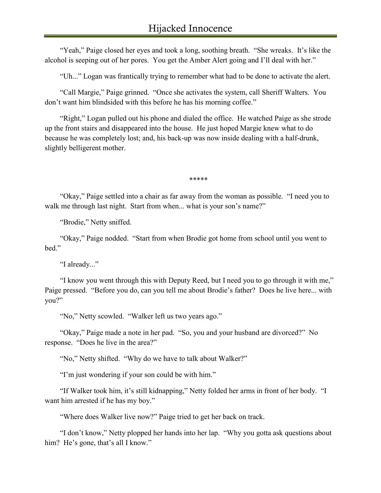"Yeah," Paige closed her eyes and took a long, soothing breath. "She wreaks. It's like the alcohol is seeping out of her pores. You get the Amber Alert going and I'll deal with her."

"Uh..." Logan was frantically trying to remember what had to be done to activate the alert.

"Call Margie," Paige grinned. "Once she activates the system, call Sheriff Walters. You don't want him blindsided with this before he has his morning coffee."

"Right," Logan pulled out his phone and dialed the office. He watched Paige as she strode up the front stairs and disappeared into the house. He just hoped Margie knew what to do because he was completely lost; and, his back-up was now inside dealing with a half-drunk, slightly belligerent mother.

*\*\*\*\*\**

"Okay," Paige settled into a chair as far away from the woman as possible. "I need you to walk me through last night. Start from when... what is your son's name?"

"Brodie," Netty sniffed.

"Okay," Paige nodded. "Start from when Brodie got home from school until you went to hed"

"I already..."

"I know you went through this with Deputy Reed, but I need you to go through it with me," Paige pressed. "Before you do, can you tell me about Brodie's father? Does he live here... with you?"

"No," Netty scowled. "Walker left us two years ago."

"Okay," Paige made a note in her pad. "So, you and your husband are divorced?" No response. "Does he live in the area?"

"No," Netty shifted. "Why do we have to talk about Walker?"

"I'm just wondering if your son could be with him."

"If Walker took him, it's still kidnapping," Netty folded her arms in front of her body. "I want him arrested if he has my boy."

"Where does Walker live now?" Paige tried to get her back on track.

"I don't know," Netty plopped her hands into her lap. "Why you gotta ask questions about him? He's gone, that's all I know."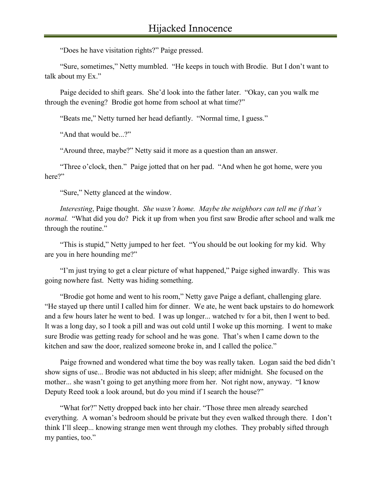"Does he have visitation rights?" Paige pressed.

"Sure, sometimes," Netty mumbled. "He keeps in touch with Brodie. But I don't want to talk about my Ex."

Paige decided to shift gears. She'd look into the father later. "Okay, can you walk me through the evening? Brodie got home from school at what time?"

"Beats me," Netty turned her head defiantly. "Normal time, I guess."

"And that would be...?"

"Around three, maybe?" Netty said it more as a question than an answer.

"Three o'clock, then." Paige jotted that on her pad. "And when he got home, were you here?"

"Sure," Netty glanced at the window.

*Interesting*, Paige thought. *She wasn't home. Maybe the neighbors can tell me if that's normal.* "What did you do? Pick it up from when you first saw Brodie after school and walk me through the routine."

"This is stupid," Netty jumped to her feet. "You should be out looking for my kid. Why are you in here hounding me?"

"I'm just trying to get a clear picture of what happened," Paige sighed inwardly. This was going nowhere fast. Netty was hiding something.

"Brodie got home and went to his room," Netty gave Paige a defiant, challenging glare. "He stayed up there until I called him for dinner. We ate, he went back upstairs to do homework and a few hours later he went to bed. I was up longer... watched tv for a bit, then I went to bed. It was a long day, so I took a pill and was out cold until I woke up this morning. I went to make sure Brodie was getting ready for school and he was gone. That's when I came down to the kitchen and saw the door, realized someone broke in, and I called the police."

Paige frowned and wondered what time the boy was really taken. Logan said the bed didn't show signs of use... Brodie was not abducted in his sleep; after midnight. She focused on the mother... she wasn't going to get anything more from her. Not right now, anyway. "I know Deputy Reed took a look around, but do you mind if I search the house?"

"What for?" Netty dropped back into her chair. "Those three men already searched everything. A woman's bedroom should be private but they even walked through there. I don't think I'll sleep... knowing strange men went through my clothes. They probably sifted through my panties, too."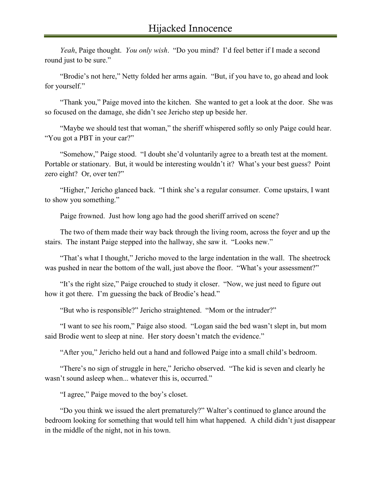*Yeah*, Paige thought. *You only wish*. "Do you mind? I'd feel better if I made a second round just to be sure."

"Brodie's not here," Netty folded her arms again. "But, if you have to, go ahead and look for yourself."

"Thank you," Paige moved into the kitchen. She wanted to get a look at the door. She was so focused on the damage, she didn't see Jericho step up beside her.

"Maybe we should test that woman," the sheriff whispered softly so only Paige could hear. "You got a PBT in your car?"

"Somehow," Paige stood. "I doubt she'd voluntarily agree to a breath test at the moment. Portable or stationary. But, it would be interesting wouldn't it? What's your best guess? Point zero eight? Or, over ten?"

"Higher," Jericho glanced back. "I think she's a regular consumer. Come upstairs, I want to show you something."

Paige frowned. Just how long ago had the good sheriff arrived on scene?

The two of them made their way back through the living room, across the foyer and up the stairs. The instant Paige stepped into the hallway, she saw it. "Looks new."

"That's what I thought," Jericho moved to the large indentation in the wall. The sheetrock was pushed in near the bottom of the wall, just above the floor. "What's your assessment?"

"It's the right size," Paige crouched to study it closer. "Now, we just need to figure out how it got there. I'm guessing the back of Brodie's head."

"But who is responsible?" Jericho straightened. "Mom or the intruder?"

"I want to see his room," Paige also stood. "Logan said the bed wasn't slept in, but mom said Brodie went to sleep at nine. Her story doesn't match the evidence."

"After you," Jericho held out a hand and followed Paige into a small child's bedroom.

"There's no sign of struggle in here," Jericho observed. "The kid is seven and clearly he wasn't sound asleep when... whatever this is, occurred."

"I agree," Paige moved to the boy's closet.

"Do you think we issued the alert prematurely?" Walter's continued to glance around the bedroom looking for something that would tell him what happened. A child didn't just disappear in the middle of the night, not in his town.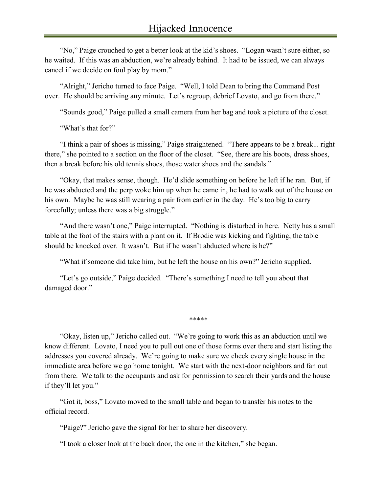"No," Paige crouched to get a better look at the kid's shoes. "Logan wasn't sure either, so he waited. If this was an abduction, we're already behind. It had to be issued, we can always cancel if we decide on foul play by mom."

"Alright," Jericho turned to face Paige. "Well, I told Dean to bring the Command Post over. He should be arriving any minute. Let's regroup, debrief Lovato, and go from there."

"Sounds good," Paige pulled a small camera from her bag and took a picture of the closet.

"What's that for?"

"I think a pair of shoes is missing," Paige straightened. "There appears to be a break... right there," she pointed to a section on the floor of the closet. "See, there are his boots, dress shoes, then a break before his old tennis shoes, those water shoes and the sandals."

"Okay, that makes sense, though. He'd slide something on before he left if he ran. But, if he was abducted and the perp woke him up when he came in, he had to walk out of the house on his own. Maybe he was still wearing a pair from earlier in the day. He's too big to carry forcefully; unless there was a big struggle."

"And there wasn't one," Paige interrupted. "Nothing is disturbed in here. Netty has a small table at the foot of the stairs with a plant on it. If Brodie was kicking and fighting, the table should be knocked over. It wasn't. But if he wasn't abducted where is he?"

"What if someone did take him, but he left the house on his own?" Jericho supplied.

"Let's go outside," Paige decided. "There's something I need to tell you about that damaged door."

*\*\*\*\*\**

"Okay, listen up," Jericho called out. "We're going to work this as an abduction until we know different. Lovato, I need you to pull out one of those forms over there and start listing the addresses you covered already. We're going to make sure we check every single house in the immediate area before we go home tonight. We start with the next-door neighbors and fan out from there. We talk to the occupants and ask for permission to search their yards and the house if they'll let you."

"Got it, boss," Lovato moved to the small table and began to transfer his notes to the official record.

"Paige?" Jericho gave the signal for her to share her discovery.

"I took a closer look at the back door, the one in the kitchen," she began.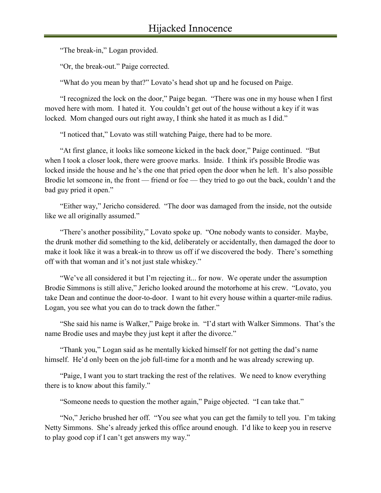"The break-in," Logan provided.

"Or, the break-out." Paige corrected.

"What do you mean by that?" Lovato's head shot up and he focused on Paige.

"I recognized the lock on the door," Paige began. "There was one in my house when I first moved here with mom. I hated it. You couldn't get out of the house without a key if it was locked. Mom changed ours out right away, I think she hated it as much as I did."

"I noticed that," Lovato was still watching Paige, there had to be more.

"At first glance, it looks like someone kicked in the back door," Paige continued. "But when I took a closer look, there were groove marks. Inside. I think it's possible Brodie was locked inside the house and he's the one that pried open the door when he left. It's also possible Brodie let someone in, the front — friend or foe — they tried to go out the back, couldn't and the bad guy pried it open."

"Either way," Jericho considered. "The door was damaged from the inside, not the outside like we all originally assumed."

"There's another possibility," Lovato spoke up. "One nobody wants to consider. Maybe, the drunk mother did something to the kid, deliberately or accidentally, then damaged the door to make it look like it was a break-in to throw us off if we discovered the body. There's something off with that woman and it's not just stale whiskey."

"We've all considered it but I'm rejecting it... for now. We operate under the assumption Brodie Simmons is still alive," Jericho looked around the motorhome at his crew. "Lovato, you take Dean and continue the door-to-door. I want to hit every house within a quarter-mile radius. Logan, you see what you can do to track down the father."

"She said his name is Walker," Paige broke in. "I'd start with Walker Simmons. That's the name Brodie uses and maybe they just kept it after the divorce."

"Thank you," Logan said as he mentally kicked himself for not getting the dad's name himself. He'd only been on the job full-time for a month and he was already screwing up.

"Paige, I want you to start tracking the rest of the relatives. We need to know everything there is to know about this family."

"Someone needs to question the mother again," Paige objected. "I can take that."

"No," Jericho brushed her off. "You see what you can get the family to tell you. I'm taking Netty Simmons. She's already jerked this office around enough. I'd like to keep you in reserve to play good cop if I can't get answers my way."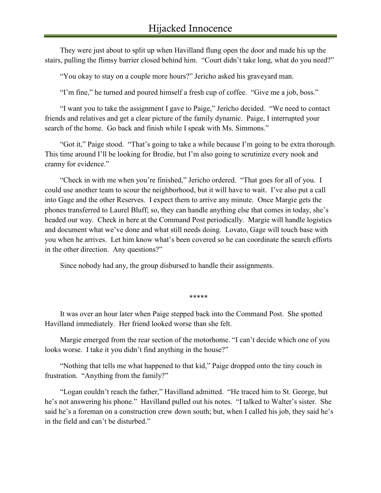They were just about to split up when Havilland flung open the door and made his up the stairs, pulling the flimsy barrier closed behind him. "Court didn't take long, what do you need?"

"You okay to stay on a couple more hours?" Jericho asked his graveyard man.

"I'm fine," he turned and poured himself a fresh cup of coffee. "Give me a job, boss."

"I want you to take the assignment I gave to Paige," Jericho decided. "We need to contact friends and relatives and get a clear picture of the family dynamic. Paige, I interrupted your search of the home. Go back and finish while I speak with Ms. Simmons."

"Got it," Paige stood. "That's going to take a while because I'm going to be extra thorough. This time around I'll be looking for Brodie, but I'm also going to scrutinize every nook and cranny for evidence."

"Check in with me when you're finished," Jericho ordered. "That goes for all of you. I could use another team to scour the neighborhood, but it will have to wait. I've also put a call into Gage and the other Reserves. I expect them to arrive any minute. Once Margie gets the phones transferred to Laurel Bluff; so, they can handle anything else that comes in today, she's headed our way. Check in here at the Command Post periodically. Margie will handle logistics and document what we've done and what still needs doing. Lovato, Gage will touch base with you when he arrives. Let him know what's been covered so he can coordinate the search efforts in the other direction. Any questions?"

Since nobody had any, the group disbursed to handle their assignments.

*\*\*\*\*\**

It was over an hour later when Paige stepped back into the Command Post. She spotted Havilland immediately. Her friend looked worse than she felt.

Margie emerged from the rear section of the motorhome. "I can't decide which one of you looks worse. I take it you didn't find anything in the house?"

"Nothing that tells me what happened to that kid," Paige dropped onto the tiny couch in frustration. "Anything from the family?"

"Logan couldn't reach the father," Havilland admitted. "He traced him to St. George, but he's not answering his phone." Havilland pulled out his notes. "I talked to Walter's sister. She said he's a foreman on a construction crew down south; but, when I called his job, they said he's in the field and can't be disturbed."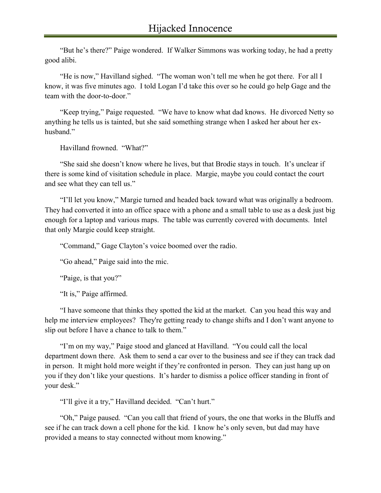"But he's there?" Paige wondered. If Walker Simmons was working today, he had a pretty good alibi.

"He is now," Havilland sighed. "The woman won't tell me when he got there. For all I know, it was five minutes ago. I told Logan I'd take this over so he could go help Gage and the team with the door-to-door."

"Keep trying," Paige requested. "We have to know what dad knows. He divorced Netty so anything he tells us is tainted, but she said something strange when I asked her about her exhusband."

Havilland frowned. "What?"

"She said she doesn't know where he lives, but that Brodie stays in touch. It's unclear if there is some kind of visitation schedule in place. Margie, maybe you could contact the court and see what they can tell us."

"I'll let you know," Margie turned and headed back toward what was originally a bedroom. They had converted it into an office space with a phone and a small table to use as a desk just big enough for a laptop and various maps. The table was currently covered with documents. Intel that only Margie could keep straight.

"Command," Gage Clayton's voice boomed over the radio.

"Go ahead," Paige said into the mic.

"Paige, is that you?"

"It is," Paige affirmed.

"I have someone that thinks they spotted the kid at the market. Can you head this way and help me interview employees? They're getting ready to change shifts and I don't want anyone to slip out before I have a chance to talk to them."

"I'm on my way," Paige stood and glanced at Havilland. "You could call the local department down there. Ask them to send a car over to the business and see if they can track dad in person. It might hold more weight if they're confronted in person. They can just hang up on you if they don't like your questions. It's harder to dismiss a police officer standing in front of your desk."

"I'll give it a try," Havilland decided. "Can't hurt."

"Oh," Paige paused. "Can you call that friend of yours, the one that works in the Bluffs and see if he can track down a cell phone for the kid. I know he's only seven, but dad may have provided a means to stay connected without mom knowing."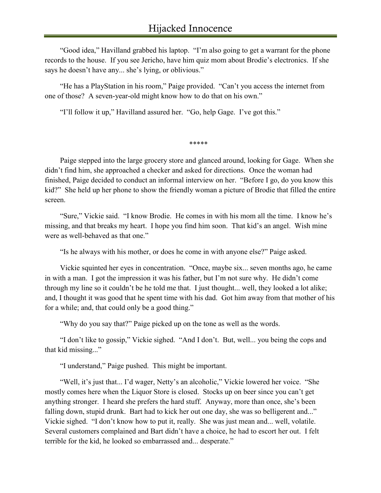"Good idea," Havilland grabbed his laptop. "I'm also going to get a warrant for the phone records to the house. If you see Jericho, have him quiz mom about Brodie's electronics. If she says he doesn't have any... she's lying, or oblivious."

"He has a PlayStation in his room," Paige provided. "Can't you access the internet from one of those? A seven-year-old might know how to do that on his own."

"I'll follow it up," Havilland assured her. "Go, help Gage. I've got this."

*\*\*\*\*\**

Paige stepped into the large grocery store and glanced around, looking for Gage. When she didn't find him, she approached a checker and asked for directions. Once the woman had finished, Paige decided to conduct an informal interview on her. "Before I go, do you know this kid?" She held up her phone to show the friendly woman a picture of Brodie that filled the entire screen.

"Sure," Vickie said. "I know Brodie. He comes in with his mom all the time. I know he's missing, and that breaks my heart. I hope you find him soon. That kid's an angel. Wish mine were as well-behaved as that one."

"Is he always with his mother, or does he come in with anyone else?" Paige asked.

Vickie squinted her eyes in concentration. "Once, maybe six... seven months ago, he came in with a man. I got the impression it was his father, but I'm not sure why. He didn't come through my line so it couldn't be he told me that. I just thought... well, they looked a lot alike; and, I thought it was good that he spent time with his dad. Got him away from that mother of his for a while; and, that could only be a good thing."

"Why do you say that?" Paige picked up on the tone as well as the words.

"I don't like to gossip," Vickie sighed. "And I don't. But, well... you being the cops and that kid missing..."

"I understand," Paige pushed. This might be important.

"Well, it's just that... I'd wager, Netty's an alcoholic," Vickie lowered her voice. "She mostly comes here when the Liquor Store is closed. Stocks up on beer since you can't get anything stronger. I heard she prefers the hard stuff. Anyway, more than once, she's been falling down, stupid drunk. Bart had to kick her out one day, she was so belligerent and..." Vickie sighed. "I don't know how to put it, really. She was just mean and... well, volatile. Several customers complained and Bart didn't have a choice, he had to escort her out. I felt terrible for the kid, he looked so embarrassed and... desperate."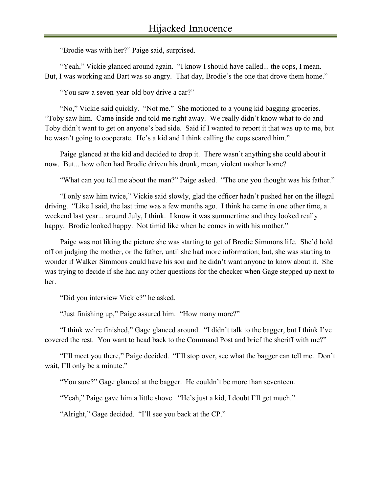"Brodie was with her?" Paige said, surprised.

"Yeah," Vickie glanced around again. "I know I should have called... the cops, I mean. But, I was working and Bart was so angry. That day, Brodie's the one that drove them home."

"You saw a seven-year-old boy drive a car?"

"No," Vickie said quickly. "Not me." She motioned to a young kid bagging groceries. "Toby saw him. Came inside and told me right away. We really didn't know what to do and Toby didn't want to get on anyone's bad side. Said if I wanted to report it that was up to me, but he wasn't going to cooperate. He's a kid and I think calling the cops scared him."

Paige glanced at the kid and decided to drop it. There wasn't anything she could about it now. But... how often had Brodie driven his drunk, mean, violent mother home?

"What can you tell me about the man?" Paige asked. "The one you thought was his father."

"I only saw him twice," Vickie said slowly, glad the officer hadn't pushed her on the illegal driving. "Like I said, the last time was a few months ago. I think he came in one other time, a weekend last year... around July, I think. I know it was summertime and they looked really happy. Brodie looked happy. Not timid like when he comes in with his mother."

Paige was not liking the picture she was starting to get of Brodie Simmons life. She'd hold off on judging the mother, or the father, until she had more information; but, she was starting to wonder if Walker Simmons could have his son and he didn't want anyone to know about it. She was trying to decide if she had any other questions for the checker when Gage stepped up next to her.

"Did you interview Vickie?" he asked.

"Just finishing up," Paige assured him. "How many more?"

"I think we're finished," Gage glanced around. "I didn't talk to the bagger, but I think I've covered the rest. You want to head back to the Command Post and brief the sheriff with me?"

"I'll meet you there," Paige decided. "I'll stop over, see what the bagger can tell me. Don't wait, I'll only be a minute."

"You sure?" Gage glanced at the bagger. He couldn't be more than seventeen.

"Yeah," Paige gave him a little shove. "He's just a kid, I doubt I'll get much."

"Alright," Gage decided. "I'll see you back at the CP."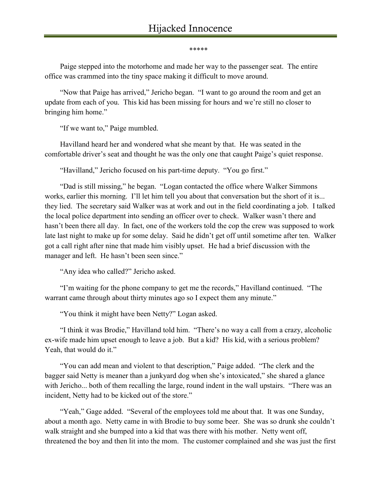*\*\*\*\*\**

Paige stepped into the motorhome and made her way to the passenger seat. The entire office was crammed into the tiny space making it difficult to move around.

"Now that Paige has arrived," Jericho began. "I want to go around the room and get an update from each of you. This kid has been missing for hours and we're still no closer to bringing him home."

"If we want to," Paige mumbled.

Havilland heard her and wondered what she meant by that. He was seated in the comfortable driver's seat and thought he was the only one that caught Paige's quiet response.

"Havilland," Jericho focused on his part-time deputy. "You go first."

"Dad is still missing," he began. "Logan contacted the office where Walker Simmons works, earlier this morning. I'll let him tell you about that conversation but the short of it is... they lied. The secretary said Walker was at work and out in the field coordinating a job. I talked the local police department into sending an officer over to check. Walker wasn't there and hasn't been there all day. In fact, one of the workers told the cop the crew was supposed to work late last night to make up for some delay. Said he didn't get off until sometime after ten. Walker got a call right after nine that made him visibly upset. He had a brief discussion with the manager and left. He hasn't been seen since."

"Any idea who called?" Jericho asked.

"I'm waiting for the phone company to get me the records," Havilland continued. "The warrant came through about thirty minutes ago so I expect them any minute."

"You think it might have been Netty?" Logan asked.

"I think it was Brodie," Havilland told him. "There's no way a call from a crazy, alcoholic ex-wife made him upset enough to leave a job. But a kid? His kid, with a serious problem? Yeah, that would do it."

"You can add mean and violent to that description," Paige added. "The clerk and the bagger said Netty is meaner than a junkyard dog when she's intoxicated," she shared a glance with Jericho... both of them recalling the large, round indent in the wall upstairs. "There was an incident, Netty had to be kicked out of the store."

"Yeah," Gage added. "Several of the employees told me about that. It was one Sunday, about a month ago. Netty came in with Brodie to buy some beer. She was so drunk she couldn't walk straight and she bumped into a kid that was there with his mother. Netty went off, threatened the boy and then lit into the mom. The customer complained and she was just the first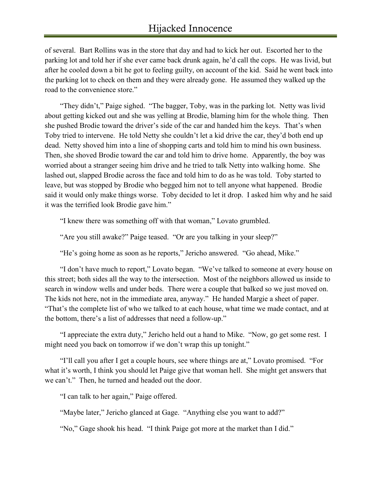of several. Bart Rollins was in the store that day and had to kick her out. Escorted her to the parking lot and told her if she ever came back drunk again, he'd call the cops. He was livid, but after he cooled down a bit he got to feeling guilty, on account of the kid. Said he went back into the parking lot to check on them and they were already gone. He assumed they walked up the road to the convenience store."

"They didn't," Paige sighed. "The bagger, Toby, was in the parking lot. Netty was livid about getting kicked out and she was yelling at Brodie, blaming him for the whole thing. Then she pushed Brodie toward the driver's side of the car and handed him the keys. That's when Toby tried to intervene. He told Netty she couldn't let a kid drive the car, they'd both end up dead. Netty shoved him into a line of shopping carts and told him to mind his own business. Then, she shoved Brodie toward the car and told him to drive home. Apparently, the boy was worried about a stranger seeing him drive and he tried to talk Netty into walking home. She lashed out, slapped Brodie across the face and told him to do as he was told. Toby started to leave, but was stopped by Brodie who begged him not to tell anyone what happened. Brodie said it would only make things worse. Toby decided to let it drop. I asked him why and he said it was the terrified look Brodie gave him."

"I knew there was something off with that woman," Lovato grumbled.

"Are you still awake?" Paige teased. "Or are you talking in your sleep?"

"He's going home as soon as he reports," Jericho answered. "Go ahead, Mike."

"I don't have much to report," Lovato began. "We've talked to someone at every house on this street; both sides all the way to the intersection. Most of the neighbors allowed us inside to search in window wells and under beds. There were a couple that balked so we just moved on. The kids not here, not in the immediate area, anyway." He handed Margie a sheet of paper. "That's the complete list of who we talked to at each house, what time we made contact, and at the bottom, there's a list of addresses that need a follow-up."

"I appreciate the extra duty," Jericho held out a hand to Mike. "Now, go get some rest. I might need you back on tomorrow if we don't wrap this up tonight."

"I'll call you after I get a couple hours, see where things are at," Lovato promised. "For what it's worth, I think you should let Paige give that woman hell. She might get answers that we can't." Then, he turned and headed out the door.

"I can talk to her again," Paige offered.

"Maybe later," Jericho glanced at Gage. "Anything else you want to add?"

"No," Gage shook his head. "I think Paige got more at the market than I did."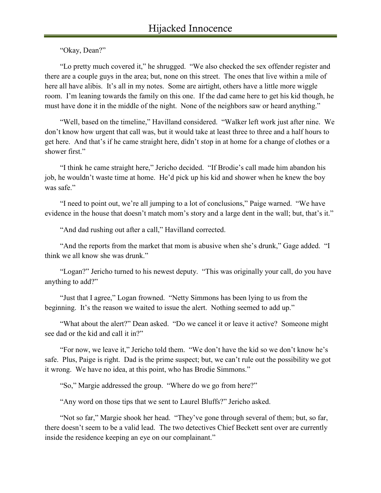"Okay, Dean?"

"Lo pretty much covered it," he shrugged. "We also checked the sex offender register and there are a couple guys in the area; but, none on this street. The ones that live within a mile of here all have alibis. It's all in my notes. Some are airtight, others have a little more wiggle room. I'm leaning towards the family on this one. If the dad came here to get his kid though, he must have done it in the middle of the night. None of the neighbors saw or heard anything."

"Well, based on the timeline," Havilland considered. "Walker left work just after nine. We don't know how urgent that call was, but it would take at least three to three and a half hours to get here. And that's if he came straight here, didn't stop in at home for a change of clothes or a shower first."

"I think he came straight here," Jericho decided. "If Brodie's call made him abandon his job, he wouldn't waste time at home. He'd pick up his kid and shower when he knew the boy was safe."

"I need to point out, we're all jumping to a lot of conclusions," Paige warned. "We have evidence in the house that doesn't match mom's story and a large dent in the wall; but, that's it."

"And dad rushing out after a call," Havilland corrected.

"And the reports from the market that mom is abusive when she's drunk," Gage added. "I think we all know she was drunk."

"Logan?" Jericho turned to his newest deputy. "This was originally your call, do you have anything to add?"

"Just that I agree," Logan frowned. "Netty Simmons has been lying to us from the beginning. It's the reason we waited to issue the alert. Nothing seemed to add up."

"What about the alert?" Dean asked. "Do we cancel it or leave it active? Someone might see dad or the kid and call it in?"

"For now, we leave it," Jericho told them. "We don't have the kid so we don't know he's safe. Plus, Paige is right. Dad is the prime suspect; but, we can't rule out the possibility we got it wrong. We have no idea, at this point, who has Brodie Simmons."

"So," Margie addressed the group. "Where do we go from here?"

"Any word on those tips that we sent to Laurel Bluffs?" Jericho asked.

"Not so far," Margie shook her head. "They've gone through several of them; but, so far, there doesn't seem to be a valid lead. The two detectives Chief Beckett sent over are currently inside the residence keeping an eye on our complainant."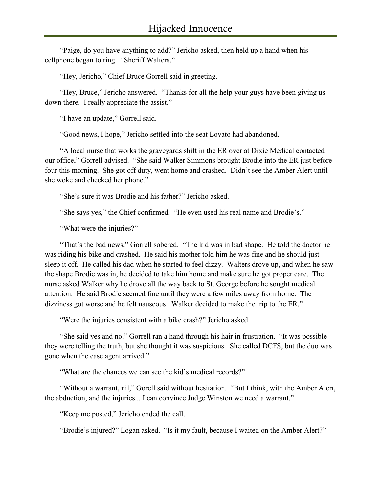"Paige, do you have anything to add?" Jericho asked, then held up a hand when his cellphone began to ring. "Sheriff Walters."

"Hey, Jericho," Chief Bruce Gorrell said in greeting.

"Hey, Bruce," Jericho answered. "Thanks for all the help your guys have been giving us down there. I really appreciate the assist."

"I have an update," Gorrell said.

"Good news, I hope," Jericho settled into the seat Lovato had abandoned.

"A local nurse that works the graveyards shift in the ER over at Dixie Medical contacted our office," Gorrell advised. "She said Walker Simmons brought Brodie into the ER just before four this morning. She got off duty, went home and crashed. Didn't see the Amber Alert until she woke and checked her phone."

"She's sure it was Brodie and his father?" Jericho asked.

"She says yes," the Chief confirmed. "He even used his real name and Brodie's."

"What were the injuries?"

"That's the bad news," Gorrell sobered. "The kid was in bad shape. He told the doctor he was riding his bike and crashed. He said his mother told him he was fine and he should just sleep it off. He called his dad when he started to feel dizzy. Walters drove up, and when he saw the shape Brodie was in, he decided to take him home and make sure he got proper care. The nurse asked Walker why he drove all the way back to St. George before he sought medical attention. He said Brodie seemed fine until they were a few miles away from home. The dizziness got worse and he felt nauseous. Walker decided to make the trip to the ER."

"Were the injuries consistent with a bike crash?" Jericho asked.

"She said yes and no," Gorrell ran a hand through his hair in frustration. "It was possible they were telling the truth, but she thought it was suspicious. She called DCFS, but the duo was gone when the case agent arrived."

"What are the chances we can see the kid's medical records?"

"Without a warrant, nil," Gorell said without hesitation. "But I think, with the Amber Alert, the abduction, and the injuries... I can convince Judge Winston we need a warrant."

"Keep me posted," Jericho ended the call.

"Brodie's injured?" Logan asked. "Is it my fault, because I waited on the Amber Alert?"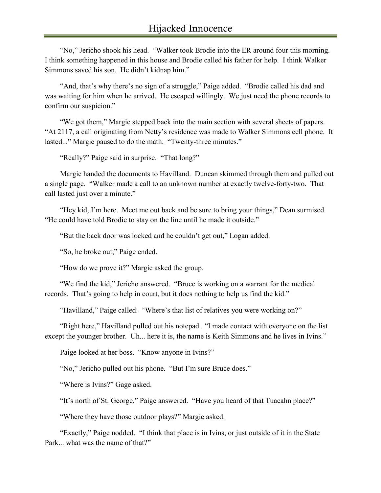"No," Jericho shook his head. "Walker took Brodie into the ER around four this morning. I think something happened in this house and Brodie called his father for help. I think Walker Simmons saved his son. He didn't kidnap him."

"And, that's why there's no sign of a struggle," Paige added. "Brodie called his dad and was waiting for him when he arrived. He escaped willingly. We just need the phone records to confirm our suspicion."

"We got them," Margie stepped back into the main section with several sheets of papers. "At 2117, a call originating from Netty's residence was made to Walker Simmons cell phone. It lasted..." Margie paused to do the math. "Twenty-three minutes."

"Really?" Paige said in surprise. "That long?"

Margie handed the documents to Havilland. Duncan skimmed through them and pulled out a single page. "Walker made a call to an unknown number at exactly twelve-forty-two. That call lasted just over a minute."

"Hey kid, I'm here. Meet me out back and be sure to bring your things," Dean surmised. "He could have told Brodie to stay on the line until he made it outside."

"But the back door was locked and he couldn't get out," Logan added.

"So, he broke out," Paige ended.

"How do we prove it?" Margie asked the group.

"We find the kid," Jericho answered. "Bruce is working on a warrant for the medical records. That's going to help in court, but it does nothing to help us find the kid."

"Havilland," Paige called. "Where's that list of relatives you were working on?"

"Right here," Havilland pulled out his notepad. "I made contact with everyone on the list except the younger brother. Uh... here it is, the name is Keith Simmons and he lives in Ivins."

Paige looked at her boss. "Know anyone in Ivins?"

"No," Jericho pulled out his phone. "But I'm sure Bruce does."

"Where is Ivins?" Gage asked.

"It's north of St. George," Paige answered. "Have you heard of that Tuacahn place?"

"Where they have those outdoor plays?" Margie asked.

"Exactly," Paige nodded. "I think that place is in Ivins, or just outside of it in the State Park... what was the name of that?"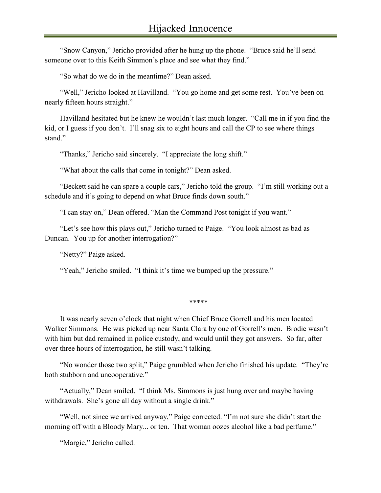"Snow Canyon," Jericho provided after he hung up the phone. "Bruce said he'll send someone over to this Keith Simmon's place and see what they find."

"So what do we do in the meantime?" Dean asked.

"Well," Jericho looked at Havilland. "You go home and get some rest. You've been on nearly fifteen hours straight."

Havilland hesitated but he knew he wouldn't last much longer. "Call me in if you find the kid, or I guess if you don't. I'll snag six to eight hours and call the CP to see where things stand"

"Thanks," Jericho said sincerely. "I appreciate the long shift."

"What about the calls that come in tonight?" Dean asked.

"Beckett said he can spare a couple cars," Jericho told the group. "I'm still working out a schedule and it's going to depend on what Bruce finds down south."

"I can stay on," Dean offered. "Man the Command Post tonight if you want."

"Let's see how this plays out," Jericho turned to Paige. "You look almost as bad as Duncan. You up for another interrogation?"

"Netty?" Paige asked.

"Yeah," Jericho smiled. "I think it's time we bumped up the pressure."

*\*\*\*\*\**

It was nearly seven o'clock that night when Chief Bruce Gorrell and his men located Walker Simmons. He was picked up near Santa Clara by one of Gorrell's men. Brodie wasn't with him but dad remained in police custody, and would until they got answers. So far, after over three hours of interrogation, he still wasn't talking.

"No wonder those two split," Paige grumbled when Jericho finished his update. "They're both stubborn and uncooperative."

"Actually," Dean smiled. "I think Ms. Simmons is just hung over and maybe having withdrawals. She's gone all day without a single drink."

"Well, not since we arrived anyway," Paige corrected. "I'm not sure she didn't start the morning off with a Bloody Mary... or ten. That woman oozes alcohol like a bad perfume."

"Margie," Jericho called.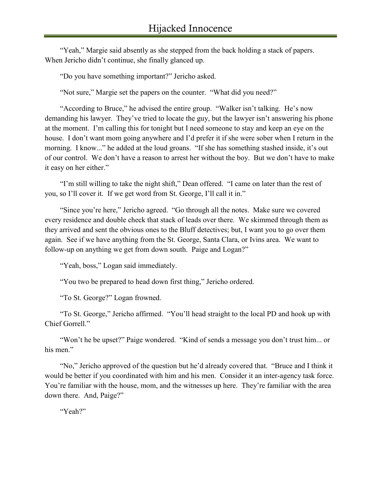"Yeah," Margie said absently as she stepped from the back holding a stack of papers. When Jericho didn't continue, she finally glanced up.

"Do you have something important?" Jericho asked.

"Not sure," Margie set the papers on the counter. "What did you need?"

"According to Bruce," he advised the entire group. "Walker isn't talking. He's now demanding his lawyer. They've tried to locate the guy, but the lawyer isn't answering his phone at the moment. I'm calling this for tonight but I need someone to stay and keep an eye on the house. I don't want mom going anywhere and I'd prefer it if she were sober when I return in the morning. I know..." he added at the loud groans. "If she has something stashed inside, it's out of our control. We don't have a reason to arrest her without the boy. But we don't have to make it easy on her either."

"I'm still willing to take the night shift," Dean offered. "I came on later than the rest of you, so I'll cover it. If we get word from St. George, I'll call it in."

"Since you're here," Jericho agreed. "Go through all the notes. Make sure we covered every residence and double check that stack of leads over there. We skimmed through them as they arrived and sent the obvious ones to the Bluff detectives; but, I want you to go over them again. See if we have anything from the St. George, Santa Clara, or Ivins area. We want to follow-up on anything we get from down south. Paige and Logan?"

"Yeah, boss," Logan said immediately.

"You two be prepared to head down first thing," Jericho ordered.

"To St. George?" Logan frowned.

"To St. George," Jericho affirmed. "You'll head straight to the local PD and hook up with Chief Gorrell."

"Won't he be upset?" Paige wondered. "Kind of sends a message you don't trust him... or his men."

"No," Jericho approved of the question but he'd already covered that. "Bruce and I think it would be better if you coordinated with him and his men. Consider it an inter-agency task force. You're familiar with the house, mom, and the witnesses up here. They're familiar with the area down there. And, Paige?"

"Yeah?"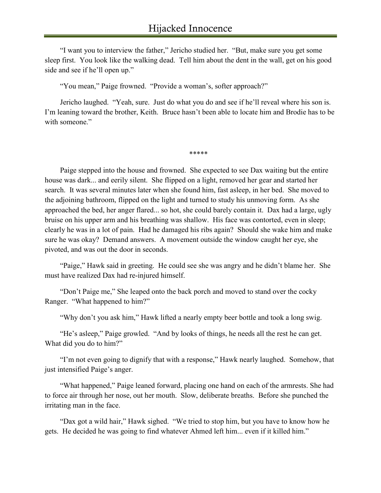"I want you to interview the father," Jericho studied her. "But, make sure you get some sleep first. You look like the walking dead. Tell him about the dent in the wall, get on his good side and see if he'll open up."

"You mean," Paige frowned. "Provide a woman's, softer approach?"

Jericho laughed. "Yeah, sure. Just do what you do and see if he'll reveal where his son is. I'm leaning toward the brother, Keith. Bruce hasn't been able to locate him and Brodie has to be with someone."

*\*\*\*\*\**

Paige stepped into the house and frowned. She expected to see Dax waiting but the entire house was dark... and eerily silent. She flipped on a light, removed her gear and started her search. It was several minutes later when she found him, fast asleep, in her bed. She moved to the adjoining bathroom, flipped on the light and turned to study his unmoving form. As she approached the bed, her anger flared... so hot, she could barely contain it. Dax had a large, ugly bruise on his upper arm and his breathing was shallow. His face was contorted, even in sleep; clearly he was in a lot of pain. Had he damaged his ribs again? Should she wake him and make sure he was okay? Demand answers. A movement outside the window caught her eye, she pivoted, and was out the door in seconds.

"Paige," Hawk said in greeting. He could see she was angry and he didn't blame her. She must have realized Dax had re-injured himself.

"Don't Paige me," She leaped onto the back porch and moved to stand over the cocky Ranger. "What happened to him?"

"Why don't you ask him," Hawk lifted a nearly empty beer bottle and took a long swig.

"He's asleep," Paige growled. "And by looks of things, he needs all the rest he can get. What did you do to him?"

"I'm not even going to dignify that with a response," Hawk nearly laughed. Somehow, that just intensified Paige's anger.

"What happened," Paige leaned forward, placing one hand on each of the armrests. She had to force air through her nose, out her mouth. Slow, deliberate breaths. Before she punched the irritating man in the face.

"Dax got a wild hair," Hawk sighed. "We tried to stop him, but you have to know how he gets. He decided he was going to find whatever Ahmed left him... even if it killed him."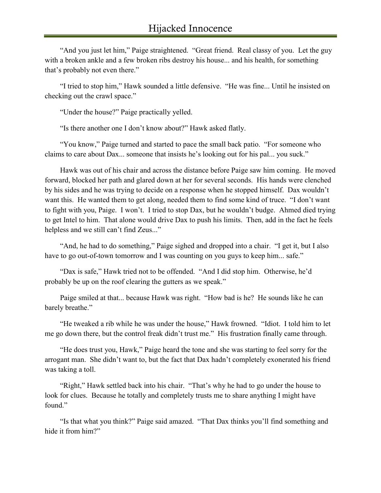"And you just let him," Paige straightened. "Great friend. Real classy of you. Let the guy with a broken ankle and a few broken ribs destroy his house... and his health, for something that's probably not even there."

"I tried to stop him," Hawk sounded a little defensive. "He was fine... Until he insisted on checking out the crawl space."

"Under the house?" Paige practically yelled.

"Is there another one I don't know about?" Hawk asked flatly.

"You know," Paige turned and started to pace the small back patio. "For someone who claims to care about Dax... someone that insists he's looking out for his pal... you suck."

Hawk was out of his chair and across the distance before Paige saw him coming. He moved forward, blocked her path and glared down at her for several seconds. His hands were clenched by his sides and he was trying to decide on a response when he stopped himself. Dax wouldn't want this. He wanted them to get along, needed them to find some kind of truce. "I don't want to fight with you, Paige. I won't. I tried to stop Dax, but he wouldn't budge. Ahmed died trying to get Intel to him. That alone would drive Dax to push his limits. Then, add in the fact he feels helpless and we still can't find Zeus..."

"And, he had to do something," Paige sighed and dropped into a chair. "I get it, but I also have to go out-of-town tomorrow and I was counting on you guys to keep him... safe."

"Dax is safe," Hawk tried not to be offended. "And I did stop him. Otherwise, he'd probably be up on the roof clearing the gutters as we speak."

Paige smiled at that... because Hawk was right. "How bad is he? He sounds like he can barely breathe."

"He tweaked a rib while he was under the house," Hawk frowned. "Idiot. I told him to let me go down there, but the control freak didn't trust me." His frustration finally came through.

"He does trust you, Hawk," Paige heard the tone and she was starting to feel sorry for the arrogant man. She didn't want to, but the fact that Dax hadn't completely exonerated his friend was taking a toll.

"Right," Hawk settled back into his chair. "That's why he had to go under the house to look for clues. Because he totally and completely trusts me to share anything I might have found"

"Is that what you think?" Paige said amazed. "That Dax thinks you'll find something and hide it from him?"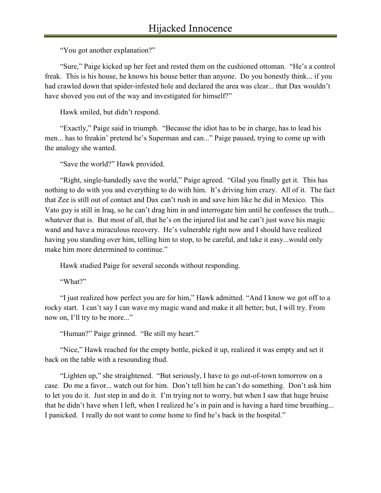"You got another explanation?"

"Sure," Paige kicked up her feet and rested them on the cushioned ottoman. "He's a control freak. This is his house, he knows his house better than anyone. Do you honestly think... if you had crawled down that spider-infested hole and declared the area was clear... that Dax wouldn't have shoved you out of the way and investigated for himself?"

Hawk smiled, but didn't respond.

"Exactly," Paige said in triumph. "Because the idiot has to be in charge, has to lead his men... has to freakin' pretend he's Superman and can..." Paige paused, trying to come up with the analogy she wanted.

"Save the world?" Hawk provided.

"Right, single-handedly save the world," Paige agreed. "Glad you finally get it. This has nothing to do with you and everything to do with him. It's driving him crazy. All of it. The fact that Zee is still out of contact and Dax can't rush in and save him like he did in Mexico. This Vato guy is still in Iraq, so he can't drag him in and interrogate him until he confesses the truth... whatever that is. But most of all, that he's on the injured list and he can't just wave his magic wand and have a miraculous recovery. He's vulnerable right now and I should have realized having you standing over him, telling him to stop, to be careful, and take it easy...would only make him more determined to continue."

Hawk studied Paige for several seconds without responding.

"What?"

"I just realized how perfect you are for him," Hawk admitted. "And I know we got off to a rocky start. I can't say I can wave my magic wand and make it all better; but, I will try. From now on, I'll try to be more..."

"Human?" Paige grinned. "Be still my heart."

"Nice," Hawk reached for the empty bottle, picked it up, realized it was empty and set it back on the table with a resounding thud.

"Lighten up," she straightened. "But seriously, I have to go out-of-town tomorrow on a case. Do me a favor... watch out for him. Don't tell him he can't do something. Don't ask him to let you do it. Just step in and do it. I'm trying not to worry, but when I saw that huge bruise that he didn't have when I left, when I realized he's in pain and is having a hard time breathing... I panicked. I really do not want to come home to find he's back in the hospital."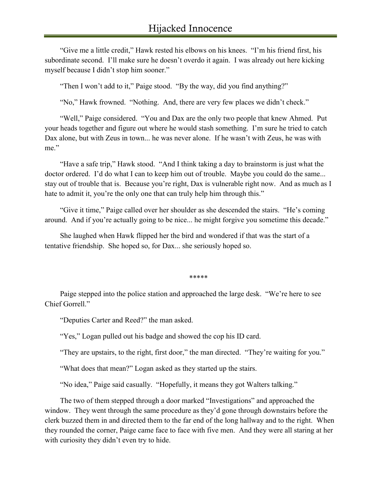"Give me a little credit," Hawk rested his elbows on his knees. "I'm his friend first, his subordinate second. I'll make sure he doesn't overdo it again. I was already out here kicking myself because I didn't stop him sooner."

"Then I won't add to it," Paige stood. "By the way, did you find anything?"

"No," Hawk frowned. "Nothing. And, there are very few places we didn't check."

"Well," Paige considered. "You and Dax are the only two people that knew Ahmed. Put your heads together and figure out where he would stash something. I'm sure he tried to catch Dax alone, but with Zeus in town... he was never alone. If he wasn't with Zeus, he was with me."

"Have a safe trip," Hawk stood. "And I think taking a day to brainstorm is just what the doctor ordered. I'd do what I can to keep him out of trouble. Maybe you could do the same... stay out of trouble that is. Because you're right, Dax is vulnerable right now. And as much as I hate to admit it, you're the only one that can truly help him through this."

"Give it time," Paige called over her shoulder as she descended the stairs. "He's coming around. And if you're actually going to be nice... he might forgive you sometime this decade."

She laughed when Hawk flipped her the bird and wondered if that was the start of a tentative friendship. She hoped so, for Dax... she seriously hoped so.

*\*\*\*\*\**

Paige stepped into the police station and approached the large desk. "We're here to see Chief Gorrell."

"Deputies Carter and Reed?" the man asked.

"Yes," Logan pulled out his badge and showed the cop his ID card.

"They are upstairs, to the right, first door," the man directed. "They're waiting for you."

"What does that mean?" Logan asked as they started up the stairs.

"No idea," Paige said casually. "Hopefully, it means they got Walters talking."

The two of them stepped through a door marked "Investigations" and approached the window. They went through the same procedure as they'd gone through downstairs before the clerk buzzed them in and directed them to the far end of the long hallway and to the right. When they rounded the corner, Paige came face to face with five men. And they were all staring at her with curiosity they didn't even try to hide.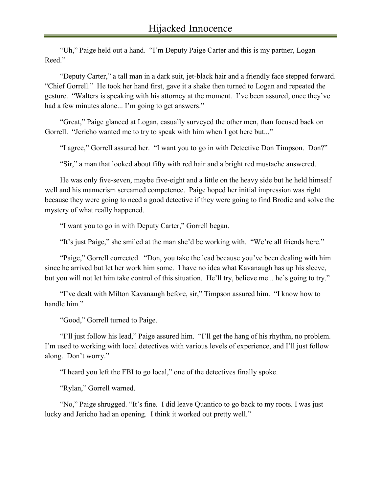"Uh," Paige held out a hand. "I'm Deputy Paige Carter and this is my partner, Logan Reed."

"Deputy Carter," a tall man in a dark suit, jet-black hair and a friendly face stepped forward. "Chief Gorrell." He took her hand first, gave it a shake then turned to Logan and repeated the gesture. "Walters is speaking with his attorney at the moment. I've been assured, once they've had a few minutes alone... I'm going to get answers."

"Great," Paige glanced at Logan, casually surveyed the other men, than focused back on Gorrell. "Jericho wanted me to try to speak with him when I got here but..."

"I agree," Gorrell assured her. "I want you to go in with Detective Don Timpson. Don?"

"Sir," a man that looked about fifty with red hair and a bright red mustache answered.

He was only five-seven, maybe five-eight and a little on the heavy side but he held himself well and his mannerism screamed competence. Paige hoped her initial impression was right because they were going to need a good detective if they were going to find Brodie and solve the mystery of what really happened.

"I want you to go in with Deputy Carter," Gorrell began.

"It's just Paige," she smiled at the man she'd be working with. "We're all friends here."

"Paige," Gorrell corrected. "Don, you take the lead because you've been dealing with him since he arrived but let her work him some. I have no idea what Kavanaugh has up his sleeve, but you will not let him take control of this situation. He'll try, believe me... he's going to try."

"I've dealt with Milton Kavanaugh before, sir," Timpson assured him. "I know how to handle him."

"Good," Gorrell turned to Paige.

"I'll just follow his lead," Paige assured him. "I'll get the hang of his rhythm, no problem. I'm used to working with local detectives with various levels of experience, and I'll just follow along. Don't worry."

"I heard you left the FBI to go local," one of the detectives finally spoke.

"Rylan," Gorrell warned.

"No," Paige shrugged. "It's fine. I did leave Quantico to go back to my roots. I was just lucky and Jericho had an opening. I think it worked out pretty well."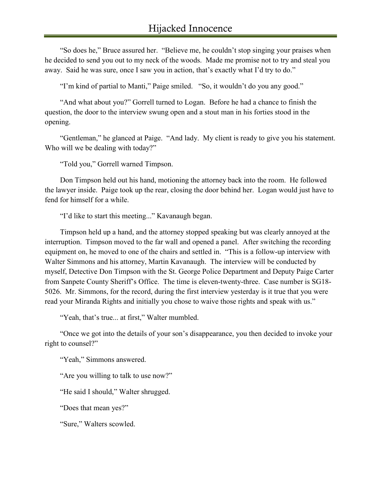"So does he," Bruce assured her. "Believe me, he couldn't stop singing your praises when he decided to send you out to my neck of the woods. Made me promise not to try and steal you away. Said he was sure, once I saw you in action, that's exactly what I'd try to do."

"I'm kind of partial to Manti," Paige smiled. "So, it wouldn't do you any good."

"And what about you?" Gorrell turned to Logan. Before he had a chance to finish the question, the door to the interview swung open and a stout man in his forties stood in the opening.

"Gentleman," he glanced at Paige. "And lady. My client is ready to give you his statement. Who will we be dealing with today?"

"Told you," Gorrell warned Timpson.

Don Timpson held out his hand, motioning the attorney back into the room. He followed the lawyer inside. Paige took up the rear, closing the door behind her. Logan would just have to fend for himself for a while.

"I'd like to start this meeting..." Kavanaugh began.

Timpson held up a hand, and the attorney stopped speaking but was clearly annoyed at the interruption. Timpson moved to the far wall and opened a panel. After switching the recording equipment on, he moved to one of the chairs and settled in. "This is a follow-up interview with Walter Simmons and his attorney, Martin Kavanaugh. The interview will be conducted by myself, Detective Don Timpson with the St. George Police Department and Deputy Paige Carter from Sanpete County Sheriff's Office. The time is eleven-twenty-three. Case number is SG18- 5026. Mr. Simmons, for the record, during the first interview yesterday is it true that you were read your Miranda Rights and initially you chose to waive those rights and speak with us."

"Yeah, that's true... at first," Walter mumbled.

"Once we got into the details of your son's disappearance, you then decided to invoke your right to counsel?"

"Yeah," Simmons answered.

"Are you willing to talk to use now?"

"He said I should," Walter shrugged.

"Does that mean yes?"

"Sure," Walters scowled.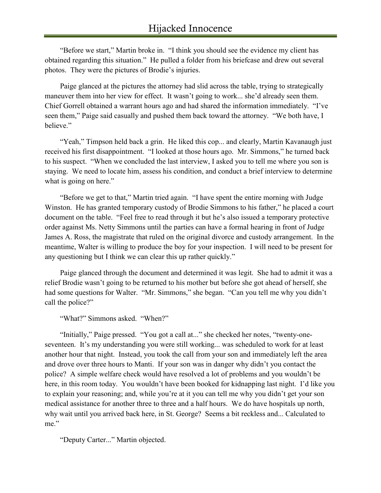"Before we start," Martin broke in. "I think you should see the evidence my client has obtained regarding this situation." He pulled a folder from his briefcase and drew out several photos. They were the pictures of Brodie's injuries.

Paige glanced at the pictures the attorney had slid across the table, trying to strategically maneuver them into her view for effect. It wasn't going to work... she'd already seen them. Chief Gorrell obtained a warrant hours ago and had shared the information immediately. "I've seen them," Paige said casually and pushed them back toward the attorney. "We both have, I believe."

"Yeah," Timpson held back a grin. He liked this cop... and clearly, Martin Kavanaugh just received his first disappointment. "I looked at those hours ago. Mr. Simmons," he turned back to his suspect. "When we concluded the last interview, I asked you to tell me where you son is staying. We need to locate him, assess his condition, and conduct a brief interview to determine what is going on here."

"Before we get to that," Martin tried again. "I have spent the entire morning with Judge Winston. He has granted temporary custody of Brodie Simmons to his father," he placed a court document on the table. "Feel free to read through it but he's also issued a temporary protective order against Ms. Netty Simmons until the parties can have a formal hearing in front of Judge James A. Ross, the magistrate that ruled on the original divorce and custody arrangement. In the meantime, Walter is willing to produce the boy for your inspection. I will need to be present for any questioning but I think we can clear this up rather quickly."

Paige glanced through the document and determined it was legit. She had to admit it was a relief Brodie wasn't going to be returned to his mother but before she got ahead of herself, she had some questions for Walter. "Mr. Simmons," she began. "Can you tell me why you didn't call the police?"

"What?" Simmons asked. "When?"

"Initially," Paige pressed. "You got a call at..." she checked her notes, "twenty-oneseventeen. It's my understanding you were still working... was scheduled to work for at least another hour that night. Instead, you took the call from your son and immediately left the area and drove over three hours to Manti. If your son was in danger why didn't you contact the police? A simple welfare check would have resolved a lot of problems and you wouldn't be here, in this room today. You wouldn't have been booked for kidnapping last night. I'd like you to explain your reasoning; and, while you're at it you can tell me why you didn't get your son medical assistance for another three to three and a half hours. We do have hospitals up north, why wait until you arrived back here, in St. George? Seems a bit reckless and... Calculated to me."

"Deputy Carter..." Martin objected.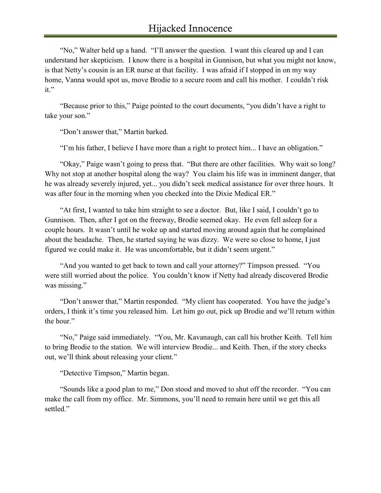"No," Walter held up a hand. "I'll answer the question. I want this cleared up and I can understand her skepticism. I know there is a hospital in Gunnison, but what you might not know, is that Netty's cousin is an ER nurse at that facility. I was afraid if I stopped in on my way home, Vanna would spot us, move Brodie to a secure room and call his mother. I couldn't risk it."

"Because prior to this," Paige pointed to the court documents, "you didn't have a right to take your son."

"Don't answer that," Martin barked.

"I'm his father, I believe I have more than a right to protect him... I have an obligation."

"Okay," Paige wasn't going to press that. "But there are other facilities. Why wait so long? Why not stop at another hospital along the way? You claim his life was in imminent danger, that he was already severely injured, yet... you didn't seek medical assistance for over three hours. It was after four in the morning when you checked into the Dixie Medical ER."

"At first, I wanted to take him straight to see a doctor. But, like I said, I couldn't go to Gunnison. Then, after I got on the freeway, Brodie seemed okay. He even fell asleep for a couple hours. It wasn't until he woke up and started moving around again that he complained about the headache. Then, he started saying he was dizzy. We were so close to home, I just figured we could make it. He was uncomfortable, but it didn't seem urgent."

"And you wanted to get back to town and call your attorney?" Timpson pressed. "You were still worried about the police. You couldn't know if Netty had already discovered Brodie was missing."

"Don't answer that," Martin responded. "My client has cooperated. You have the judge's orders, I think it's time you released him. Let him go out, pick up Brodie and we'll return within the hour."

"No," Paige said immediately. "You, Mr. Kavanaugh, can call his brother Keith. Tell him to bring Brodie to the station. We will interview Brodie... and Keith. Then, if the story checks out, we'll think about releasing your client."

"Detective Timpson," Martin began.

"Sounds like a good plan to me," Don stood and moved to shut off the recorder. "You can make the call from my office. Mr. Simmons, you'll need to remain here until we get this all settled."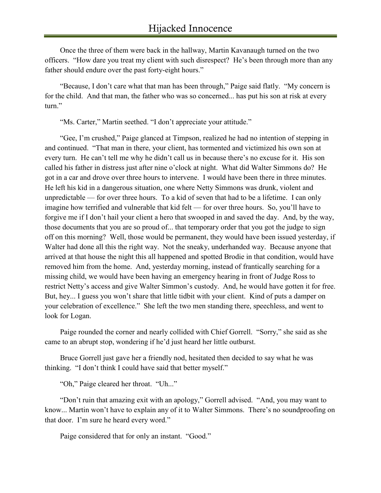Once the three of them were back in the hallway, Martin Kavanaugh turned on the two officers. "How dare you treat my client with such disrespect? He's been through more than any father should endure over the past forty-eight hours."

"Because, I don't care what that man has been through," Paige said flatly. "My concern is for the child. And that man, the father who was so concerned... has put his son at risk at every turn."

"Ms. Carter," Martin seethed. "I don't appreciate your attitude."

"Gee, I'm crushed," Paige glanced at Timpson, realized he had no intention of stepping in and continued. "That man in there, your client, has tormented and victimized his own son at every turn. He can't tell me why he didn't call us in because there's no excuse for it. His son called his father in distress just after nine o'clock at night. What did Walter Simmons do? He got in a car and drove over three hours to intervene. I would have been there in three minutes. He left his kid in a dangerous situation, one where Netty Simmons was drunk, violent and unpredictable — for over three hours. To a kid of seven that had to be a lifetime. I can only imagine how terrified and vulnerable that kid felt — for over three hours. So, you'll have to forgive me if I don't hail your client a hero that swooped in and saved the day. And, by the way, those documents that you are so proud of... that temporary order that you got the judge to sign off on this morning? Well, those would be permanent, they would have been issued yesterday, if Walter had done all this the right way. Not the sneaky, underhanded way. Because anyone that arrived at that house the night this all happened and spotted Brodie in that condition, would have removed him from the home. And, yesterday morning, instead of frantically searching for a missing child, we would have been having an emergency hearing in front of Judge Ross to restrict Netty's access and give Walter Simmon's custody. And, he would have gotten it for free. But, hey... I guess you won't share that little tidbit with your client. Kind of puts a damper on your celebration of excellence." She left the two men standing there, speechless, and went to look for Logan.

Paige rounded the corner and nearly collided with Chief Gorrell. "Sorry," she said as she came to an abrupt stop, wondering if he'd just heard her little outburst.

Bruce Gorrell just gave her a friendly nod, hesitated then decided to say what he was thinking. "I don't think I could have said that better myself."

"Oh," Paige cleared her throat. "Uh..."

"Don't ruin that amazing exit with an apology," Gorrell advised. "And, you may want to know... Martin won't have to explain any of it to Walter Simmons. There's no soundproofing on that door. I'm sure he heard every word."

Paige considered that for only an instant. "Good."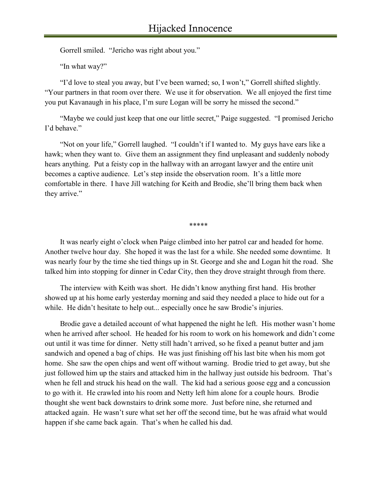Gorrell smiled. "Jericho was right about you."

"In what way?"

"I'd love to steal you away, but I've been warned; so, I won't," Gorrell shifted slightly. "Your partners in that room over there. We use it for observation. We all enjoyed the first time you put Kavanaugh in his place, I'm sure Logan will be sorry he missed the second."

"Maybe we could just keep that one our little secret," Paige suggested. "I promised Jericho I'd behave."

"Not on your life," Gorrell laughed. "I couldn't if I wanted to. My guys have ears like a hawk; when they want to. Give them an assignment they find unpleasant and suddenly nobody hears anything. Put a feisty cop in the hallway with an arrogant lawyer and the entire unit becomes a captive audience. Let's step inside the observation room. It's a little more comfortable in there. I have Jill watching for Keith and Brodie, she'll bring them back when they arrive."

*\*\*\*\*\**

It was nearly eight o'clock when Paige climbed into her patrol car and headed for home. Another twelve hour day. She hoped it was the last for a while. She needed some downtime. It was nearly four by the time she tied things up in St. George and she and Logan hit the road. She talked him into stopping for dinner in Cedar City, then they drove straight through from there.

The interview with Keith was short. He didn't know anything first hand. His brother showed up at his home early yesterday morning and said they needed a place to hide out for a while. He didn't hesitate to help out... especially once he saw Brodie's injuries.

Brodie gave a detailed account of what happened the night he left. His mother wasn't home when he arrived after school. He headed for his room to work on his homework and didn't come out until it was time for dinner. Netty still hadn't arrived, so he fixed a peanut butter and jam sandwich and opened a bag of chips. He was just finishing off his last bite when his mom got home. She saw the open chips and went off without warning. Brodie tried to get away, but she just followed him up the stairs and attacked him in the hallway just outside his bedroom. That's when he fell and struck his head on the wall. The kid had a serious goose egg and a concussion to go with it. He crawled into his room and Netty left him alone for a couple hours. Brodie thought she went back downstairs to drink some more. Just before nine, she returned and attacked again. He wasn't sure what set her off the second time, but he was afraid what would happen if she came back again. That's when he called his dad.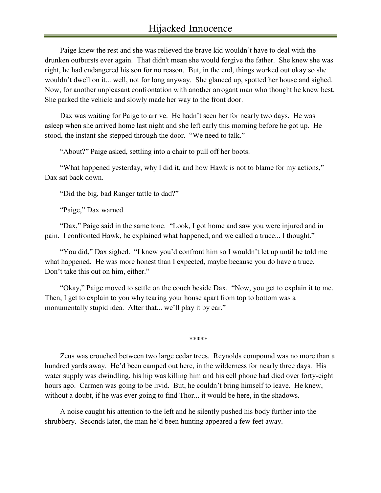## Hijacked Innocence

Paige knew the rest and she was relieved the brave kid wouldn't have to deal with the drunken outbursts ever again. That didn't mean she would forgive the father. She knew she was right, he had endangered his son for no reason. But, in the end, things worked out okay so she wouldn't dwell on it... well, not for long anyway. She glanced up, spotted her house and sighed. Now, for another unpleasant confrontation with another arrogant man who thought he knew best. She parked the vehicle and slowly made her way to the front door.

Dax was waiting for Paige to arrive. He hadn't seen her for nearly two days. He was asleep when she arrived home last night and she left early this morning before he got up. He stood, the instant she stepped through the door. "We need to talk."

"About?" Paige asked, settling into a chair to pull off her boots.

"What happened yesterday, why I did it, and how Hawk is not to blame for my actions," Dax sat back down.

"Did the big, bad Ranger tattle to dad?"

"Paige," Dax warned.

"Dax," Paige said in the same tone. "Look, I got home and saw you were injured and in pain. I confronted Hawk, he explained what happened, and we called a truce... I thought."

"You did," Dax sighed. "I knew you'd confront him so I wouldn't let up until he told me what happened. He was more honest than I expected, maybe because you do have a truce. Don't take this out on him, either."

"Okay," Paige moved to settle on the couch beside Dax. "Now, you get to explain it to me. Then, I get to explain to you why tearing your house apart from top to bottom was a monumentally stupid idea. After that... we'll play it by ear."

*\*\*\*\*\**

Zeus was crouched between two large cedar trees. Reynolds compound was no more than a hundred yards away. He'd been camped out here, in the wilderness for nearly three days. His water supply was dwindling, his hip was killing him and his cell phone had died over forty-eight hours ago. Carmen was going to be livid. But, he couldn't bring himself to leave. He knew, without a doubt, if he was ever going to find Thor... it would be here, in the shadows.

A noise caught his attention to the left and he silently pushed his body further into the shrubbery. Seconds later, the man he'd been hunting appeared a few feet away.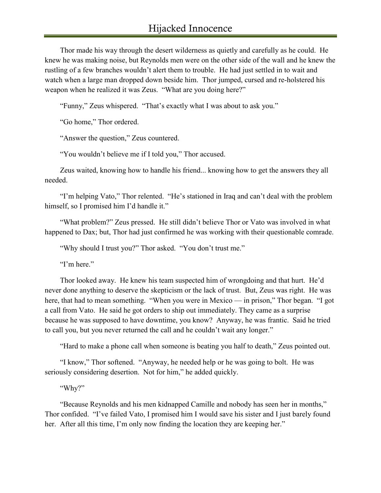Thor made his way through the desert wilderness as quietly and carefully as he could. He knew he was making noise, but Reynolds men were on the other side of the wall and he knew the rustling of a few branches wouldn't alert them to trouble. He had just settled in to wait and watch when a large man dropped down beside him. Thor jumped, cursed and re-holstered his weapon when he realized it was Zeus. "What are you doing here?"

"Funny," Zeus whispered. "That's exactly what I was about to ask you."

"Go home," Thor ordered.

"Answer the question," Zeus countered.

"You wouldn't believe me if I told you," Thor accused.

Zeus waited, knowing how to handle his friend... knowing how to get the answers they all needed.

"I'm helping Vato," Thor relented. "He's stationed in Iraq and can't deal with the problem himself, so I promised him I'd handle it."

"What problem?" Zeus pressed. He still didn't believe Thor or Vato was involved in what happened to Dax; but, Thor had just confirmed he was working with their questionable comrade.

"Why should I trust you?" Thor asked. "You don't trust me."

"I'm here."

Thor looked away. He knew his team suspected him of wrongdoing and that hurt. He'd never done anything to deserve the skepticism or the lack of trust. But, Zeus was right. He was here, that had to mean something. "When you were in Mexico — in prison," Thor began. "I got a call from Vato. He said he got orders to ship out immediately. They came as a surprise because he was supposed to have downtime, you know? Anyway, he was frantic. Said he tried to call you, but you never returned the call and he couldn't wait any longer."

"Hard to make a phone call when someone is beating you half to death," Zeus pointed out.

"I know," Thor softened. "Anyway, he needed help or he was going to bolt. He was seriously considering desertion. Not for him," he added quickly.

"Why?"

"Because Reynolds and his men kidnapped Camille and nobody has seen her in months," Thor confided. "I've failed Vato, I promised him I would save his sister and I just barely found her. After all this time, I'm only now finding the location they are keeping her."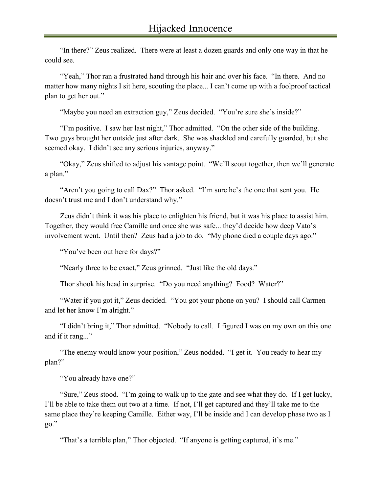"In there?" Zeus realized. There were at least a dozen guards and only one way in that he could see.

"Yeah," Thor ran a frustrated hand through his hair and over his face. "In there. And no matter how many nights I sit here, scouting the place... I can't come up with a foolproof tactical plan to get her out."

"Maybe you need an extraction guy," Zeus decided. "You're sure she's inside?"

"I'm positive. I saw her last night," Thor admitted. "On the other side of the building. Two guys brought her outside just after dark. She was shackled and carefully guarded, but she seemed okay. I didn't see any serious injuries, anyway."

"Okay," Zeus shifted to adjust his vantage point. "We'll scout together, then we'll generate a plan."

"Aren't you going to call Dax?" Thor asked. "I'm sure he's the one that sent you. He doesn't trust me and I don't understand why."

Zeus didn't think it was his place to enlighten his friend, but it was his place to assist him. Together, they would free Camille and once she was safe... they'd decide how deep Vato's involvement went. Until then? Zeus had a job to do. "My phone died a couple days ago."

"You've been out here for days?"

"Nearly three to be exact," Zeus grinned. "Just like the old days."

Thor shook his head in surprise. "Do you need anything? Food? Water?"

"Water if you got it," Zeus decided. "You got your phone on you? I should call Carmen and let her know I'm alright."

"I didn't bring it," Thor admitted. "Nobody to call. I figured I was on my own on this one and if it rang..."

"The enemy would know your position," Zeus nodded. "I get it. You ready to hear my plan?"

"You already have one?"

"Sure," Zeus stood. "I'm going to walk up to the gate and see what they do. If I get lucky, I'll be able to take them out two at a time. If not, I'll get captured and they'll take me to the same place they're keeping Camille. Either way, I'll be inside and I can develop phase two as I go."

"That's a terrible plan," Thor objected. "If anyone is getting captured, it's me."